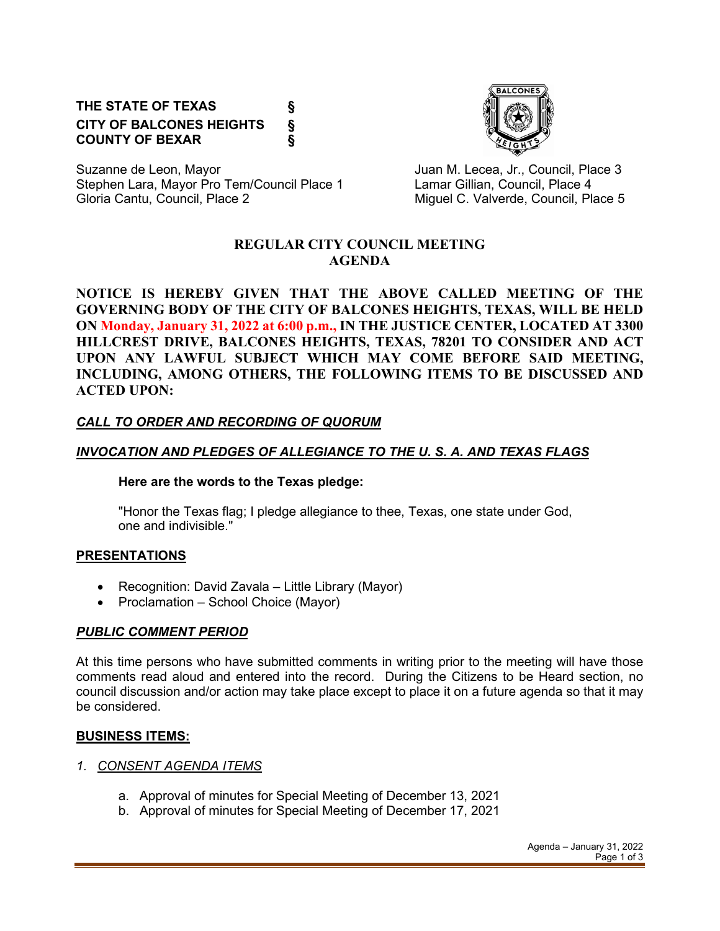# **THE STATE OF TEXAS § CITY OF BALCONES HEIGHTS § COUNTY OF BEXAR §**



Suzanne de Leon, Mayor **Juan M. Lecea, Jr., Council, Place 3** Stephen Lara, Mayor Pro Tem/Council Place 1 Lamar Gillian, Council, Place 4 Gloria Cantu, Council, Place 2 Council C. Valverde, Council, Place 5

#### **REGULAR CITY COUNCIL MEETING AGENDA**

**NOTICE IS HEREBY GIVEN THAT THE ABOVE CALLED MEETING OF THE GOVERNING BODY OF THE CITY OF BALCONES HEIGHTS, TEXAS, WILL BE HELD ON Monday, January 31, 2022 at 6:00 p.m., IN THE JUSTICE CENTER, LOCATED AT 3300 HILLCREST DRIVE, BALCONES HEIGHTS, TEXAS, 78201 TO CONSIDER AND ACT UPON ANY LAWFUL SUBJECT WHICH MAY COME BEFORE SAID MEETING, INCLUDING, AMONG OTHERS, THE FOLLOWING ITEMS TO BE DISCUSSED AND ACTED UPON:**

## *CALL TO ORDER AND RECORDING OF QUORUM*

## *INVOCATION AND PLEDGES OF ALLEGIANCE TO THE U. S. A. AND TEXAS FLAGS*

#### **Here are the words to the Texas pledge:**

"Honor the Texas flag; I pledge allegiance to thee, Texas, one state under God, one and indivisible."

## **PRESENTATIONS**

- Recognition: David Zavala Little Library (Mayor)
- Proclamation School Choice (Mayor)

## *PUBLIC COMMENT PERIOD*

At this time persons who have submitted comments in writing prior to the meeting will have those comments read aloud and entered into the record. During the Citizens to be Heard section, no council discussion and/or action may take place except to place it on a future agenda so that it may be considered.

## **BUSINESS ITEMS:**

- *1. CONSENT AGENDA ITEMS*
	- a. Approval of minutes for Special Meeting of December 13, 2021
	- b. Approval of minutes for Special Meeting of December 17, 2021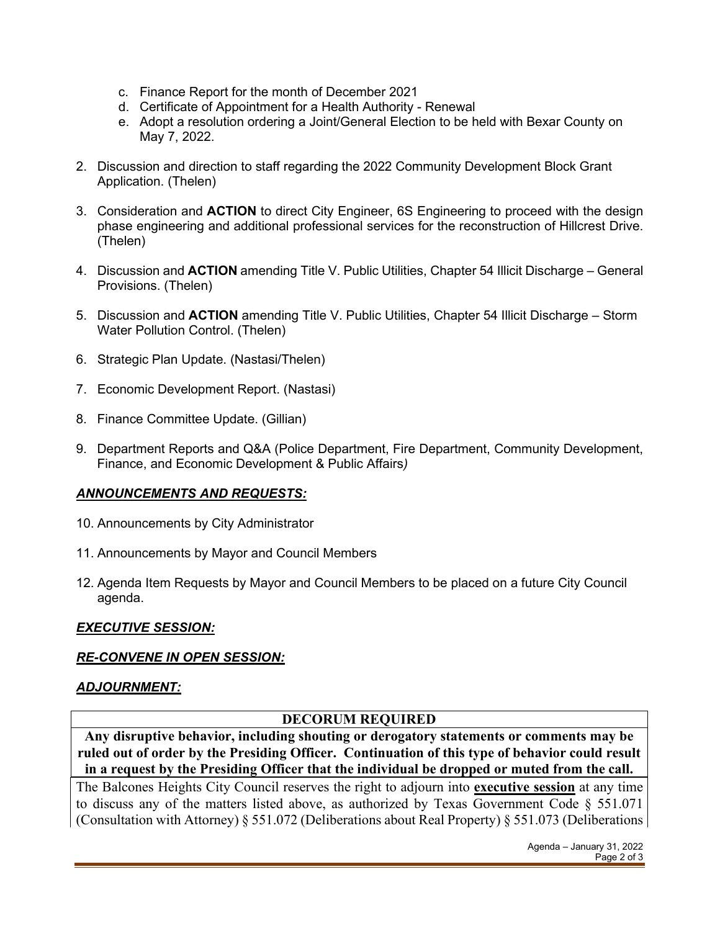- c. Finance Report for the month of December 2021
- d. Certificate of Appointment for a Health Authority Renewal
- e. Adopt a resolution ordering a Joint/General Election to be held with Bexar County on May 7, 2022.
- 2. Discussion and direction to staff regarding the 2022 Community Development Block Grant Application. (Thelen)
- 3. Consideration and **ACTION** to direct City Engineer, 6S Engineering to proceed with the design phase engineering and additional professional services for the reconstruction of Hillcrest Drive. (Thelen)
- 4. Discussion and **ACTION** amending Title V. Public Utilities, Chapter 54 Illicit Discharge General Provisions. (Thelen)
- 5. Discussion and **ACTION** amending Title V. Public Utilities, Chapter 54 Illicit Discharge Storm Water Pollution Control. (Thelen)
- 6. Strategic Plan Update. (Nastasi/Thelen)
- 7. Economic Development Report. (Nastasi)
- 8. Finance Committee Update. (Gillian)
- 9. Department Reports and Q&A (Police Department, Fire Department, Community Development, Finance, and Economic Development & Public Affairs*)*

## *ANNOUNCEMENTS AND REQUESTS:*

- 10. Announcements by City Administrator
- 11. Announcements by Mayor and Council Members
- 12. Agenda Item Requests by Mayor and Council Members to be placed on a future City Council agenda.

## *EXECUTIVE SESSION:*

#### *RE-CONVENE IN OPEN SESSION:*

## *ADJOURNMENT:*

## **DECORUM REQUIRED**

**Any disruptive behavior, including shouting or derogatory statements or comments may be ruled out of order by the Presiding Officer. Continuation of this type of behavior could result in a request by the Presiding Officer that the individual be dropped or muted from the call.**

The Balcones Heights City Council reserves the right to adjourn into **executive session** at any time to discuss any of the matters listed above, as authorized by Texas Government Code § 551.071 (Consultation with Attorney) § 551.072 (Deliberations about Real Property) § 551.073 (Deliberations